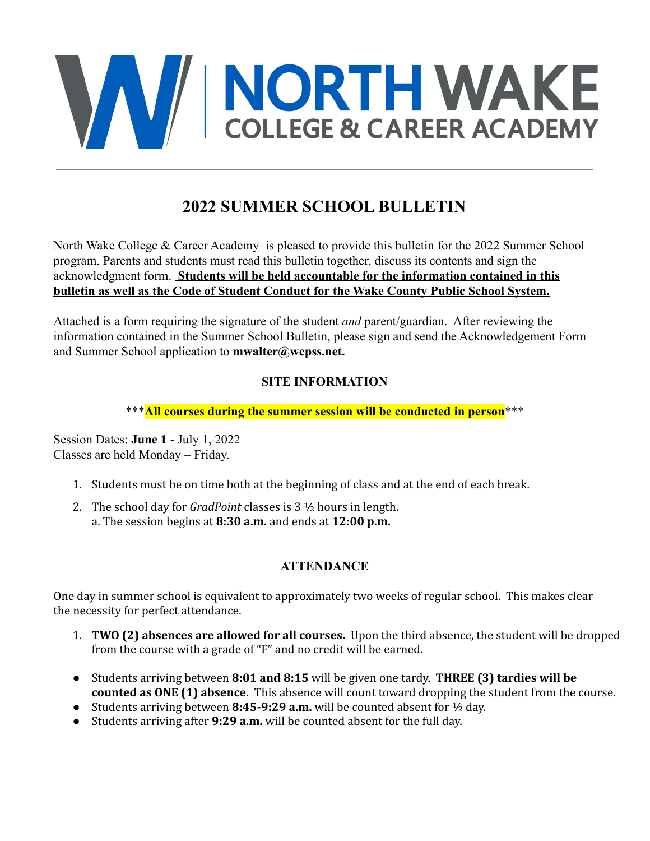

# **2022 SUMMER SCHOOL BULLETIN**

North Wake College & Career Academy is pleased to provide this bulletin for the 2022 Summer School program. Parents and students must read this bulletin together, discuss its contents and sign the acknowledgment form. **Students will be held accountable for the information contained in this bulletin as well as the Code of Student Conduct for the Wake County Public School System.**

Attached is a form requiring the signature of the student *and* parent/guardian. After reviewing the information contained in the Summer School Bulletin, please sign and send the Acknowledgement Form and Summer School application to **mwalter@wcpss.net.**

# **SITE INFORMATION**

#### \*\*\***All courses during the summer session will be conducted in person**\*\*\*

Session Dates: **June 1** - July 1, 2022 Classes are held Monday – Friday.

- 1. Students must be on time both at the beginning of class and at the end of each break.
- 2. The school day for *GradPoint* classes is 3 ½ hours in length. a. The session begins at **8:30 a.m.** and ends at **12:00 p.m.**

### **ATTENDANCE**

One day in summer school is equivalent to approximately two weeks of regular school. This makes clear the necessity for perfect attendance.

- 1. **TWO (2) absences are allowed for all courses.** Upon the third absence, the student will be dropped from the course with a grade of "F" and no credit will be earned.
- Students arriving between **8:01 and 8:15** will be given one tardy. **THREE (3) tardies will be counted as ONE (1) absence.** This absence will count toward dropping the student from the course.
- Students arriving between **8:45-9:29 a.m.** will be counted absent for ½ day.
- Students arriving after **9:29 a.m.** will be counted absent for the full day.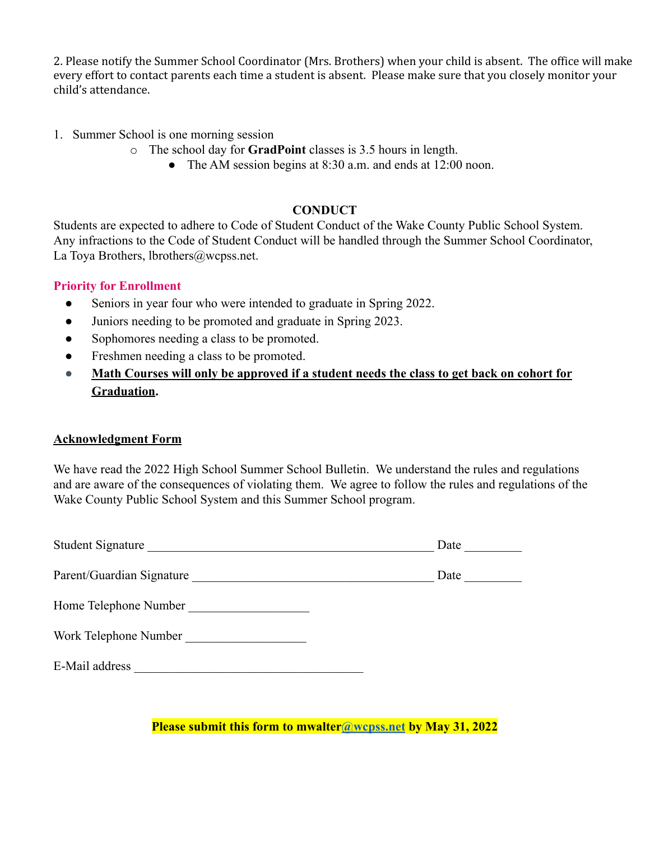2. Please notify the Summer School Coordinator (Mrs. Brothers) when your child is absent. The office will make every effort to contact parents each time a student is absent. Please make sure that you closely monitor your child's attendance.

- 1. Summer School is one morning session
	- o The school day for **GradPoint** classes is 3.5 hours in length.
		- The AM session begins at 8:30 a.m. and ends at 12:00 noon.

#### **CONDUCT**

Students are expected to adhere to Code of Student Conduct of the Wake County Public School System. Any infractions to the Code of Student Conduct will be handled through the Summer School Coordinator, La Toya Brothers, lbrothers@wcpss.net.

#### **Priority for Enrollment**

- Seniors in year four who were intended to graduate in Spring 2022.
- Juniors needing to be promoted and graduate in Spring 2023.
- Sophomores needing a class to be promoted.
- Freshmen needing a class to be promoted.
- **● Math Courses will only be approved if a student needs the class to get back on cohort for Graduation.**

#### **Acknowledgment Form**

We have read the 2022 High School Summer School Bulletin. We understand the rules and regulations and are aware of the consequences of violating them. We agree to follow the rules and regulations of the Wake County Public School System and this Summer School program.

| <b>Student Signature</b>  | Date |
|---------------------------|------|
| Parent/Guardian Signature | Date |
| Home Telephone Number     |      |
| Work Telephone Number     |      |
| E-Mail address            |      |

**Please submit this form to mwalter[@wcpss.net](mailto:khsstudentservices@wcpss.net) by May 31, 2022**